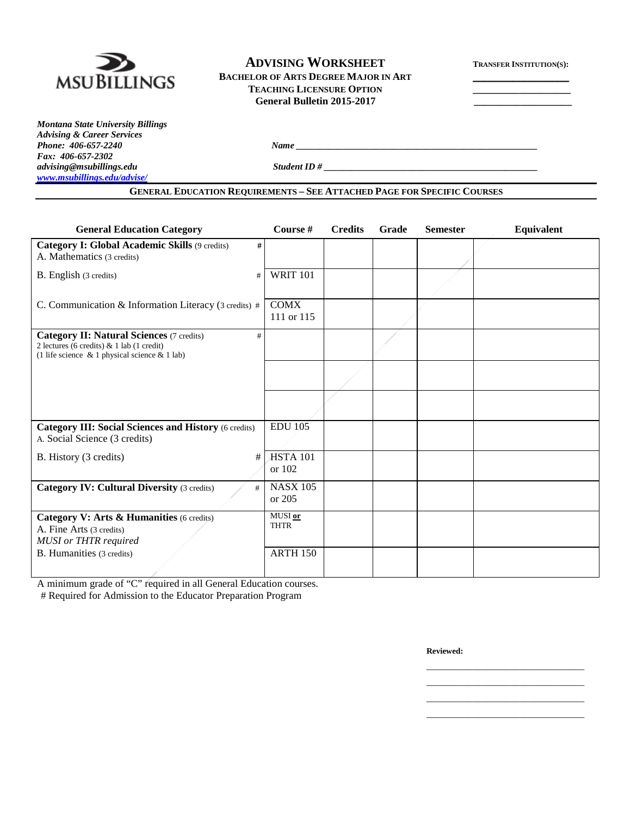

# **ADVISING WORKSHEET TRANSFER INSTITUTION(S):** BACHELOR OF ARTS DEGREE MAJOR IN ART **TEACHING LICENSURE OPTION \_\_\_\_\_\_\_\_\_\_\_\_\_\_\_\_\_\_\_**

**General Bulletin 2015-2017 \_\_\_\_\_\_\_\_\_\_\_\_\_\_\_\_\_\_\_** 

*Montana State University Billings Advising & Career Services Fax: 406-657-2302 [www.msubillings.edu/advise/](http://www.msubillings.edu/advise/)*

*Phone: 406-657-2240 Name \_\_\_\_\_\_\_\_\_\_\_\_\_\_\_\_\_\_\_\_\_\_\_\_\_\_\_\_\_\_\_\_\_\_\_\_\_\_\_\_\_\_\_\_\_\_\_\_\_\_\_\_*

*advising@msubillings.edu Student ID # \_\_\_\_\_\_\_\_\_\_\_\_\_\_\_\_\_\_\_\_\_\_\_\_\_\_\_\_\_\_\_\_\_\_\_\_\_\_\_\_\_\_\_\_\_\_*

| <b>General Education Category</b>                                                                                                                           | Course #                    | <b>Credits</b> | Grade | <b>Semester</b> | Equivalent |
|-------------------------------------------------------------------------------------------------------------------------------------------------------------|-----------------------------|----------------|-------|-----------------|------------|
| Category I: Global Academic Skills (9 credits)<br>#<br>A. Mathematics (3 credits)                                                                           |                             |                |       |                 |            |
| B. English (3 credits)<br>#                                                                                                                                 | <b>WRIT 101</b>             |                |       |                 |            |
| C. Communication & Information Literacy (3 credits) #                                                                                                       | <b>COMX</b><br>111 or 115   |                |       |                 |            |
| <b>Category II: Natural Sciences (7 credits)</b><br>#<br>2 lectures (6 credits) $& 1$ lab (1 credit)<br>(1 life science $\&$ 1 physical science $\&$ 1 lab) |                             |                |       |                 |            |
|                                                                                                                                                             |                             |                |       |                 |            |
|                                                                                                                                                             |                             |                |       |                 |            |
| <b>Category III: Social Sciences and History (6 credits)</b><br>A. Social Science (3 credits)                                                               | <b>EDU 105</b>              |                |       |                 |            |
| B. History (3 credits)<br>#                                                                                                                                 | <b>HSTA 101</b><br>or $102$ |                |       |                 |            |
| <b>Category IV: Cultural Diversity (3 credits)</b><br>#                                                                                                     | <b>NASX 105</b><br>or $205$ |                |       |                 |            |
| Category V: Arts & Humanities (6 credits)<br>A. Fine Arts (3 credits)<br><b>MUSI</b> or THTR required                                                       | MUSI or<br><b>THTR</b>      |                |       |                 |            |
| B. Humanities (3 credits)                                                                                                                                   | <b>ARTH 150</b>             |                |       |                 |            |

A minimum grade of "C" required in all General Education courses.

# Required for Admission to the Educator Preparation Program

**Reviewed:**

\_\_\_\_\_\_\_\_\_\_\_\_\_\_\_\_\_\_\_\_\_\_\_\_\_\_\_\_\_\_\_\_\_\_ \_\_\_\_\_\_\_\_\_\_\_\_\_\_\_\_\_\_\_\_\_\_\_\_\_\_\_\_\_\_\_\_\_\_ \_\_\_\_\_\_\_\_\_\_\_\_\_\_\_\_\_\_\_\_\_\_\_\_\_\_\_\_\_\_\_\_\_\_ \_\_\_\_\_\_\_\_\_\_\_\_\_\_\_\_\_\_\_\_\_\_\_\_\_\_\_\_\_\_\_\_\_\_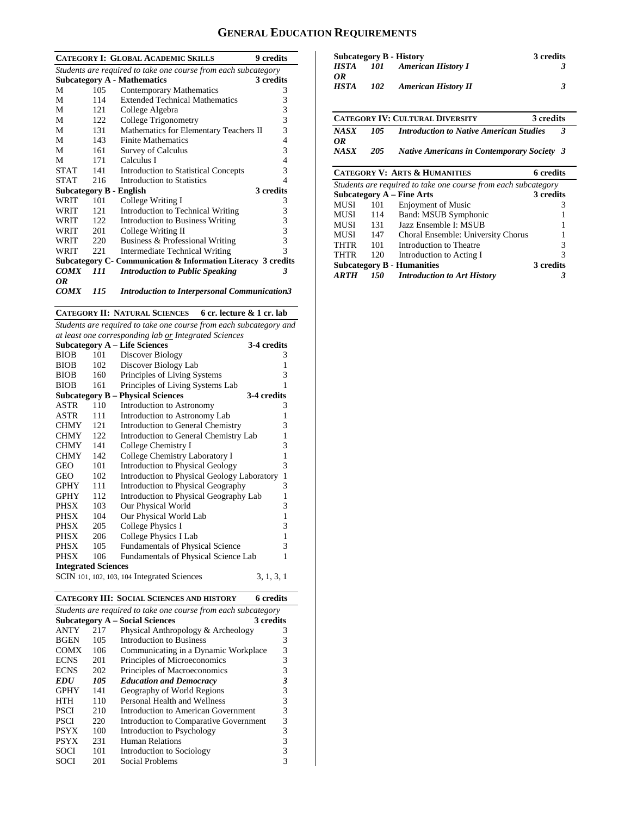# **GENERAL EDUCATION REQUIREMENTS**

|             |      | <b>CATEGORY I: GLOBAL ACADEMIC SKILLS</b>                      | <b>9</b> credits |
|-------------|------|----------------------------------------------------------------|------------------|
|             |      | Students are required to take one course from each subcategory |                  |
|             |      | <b>Subcategory A - Mathematics</b>                             | 3 credits        |
| М           | 105  | <b>Contemporary Mathematics</b>                                | 3                |
| М           | 114  | <b>Extended Technical Mathematics</b>                          | 3                |
| M           | 121  | College Algebra                                                | 3                |
| М           | 122  | College Trigonometry                                           | 3                |
| М           | 131  | Mathematics for Elementary Teachers II                         | 3                |
| М           | 143  | <b>Finite Mathematics</b>                                      | 4                |
| М           | 161  | <b>Survey of Calculus</b>                                      | 3                |
| М           | 171  | Calculus I                                                     | 4                |
| <b>STAT</b> | 141  | <b>Introduction to Statistical Concepts</b>                    | 3                |
| <b>STAT</b> | 216  | Introduction to Statistics                                     | 4                |
|             |      | Subcategory B - English                                        | 3 credits        |
| WRIT        | 101  | College Writing I                                              | 3                |
| WRIT        | 121  | Introduction to Technical Writing                              | 3                |
| WRIT        | 122  | <b>Introduction to Business Writing</b>                        | 3                |
| WRIT        | 201  | College Writing II                                             | 3                |
| WRIT        | 220  | Business & Professional Writing                                | 3                |
| WRIT        | 22.1 | Intermediate Technical Writing                                 | 3                |
|             |      | Subcategory C- Communication & Information Literacy 3 credits  |                  |
| <b>COMX</b> | 111  | <b>Introduction to Public Speaking</b>                         | 3                |
| 0R          |      |                                                                |                  |
| <b>COMX</b> | 115  | <b>Introduction to Interpersonal Communication3</b>            |                  |

**CATEGORY II: NATURAL SCIENCES 6 cr. lecture & 1 cr. lab**

*Students are required to take one course from each subcategory and at least one corresponding lab or Integrated Sciences*

|                            | ui ieusi one corresponuing uib or integruieu sciences |                                                    |              |  |  |  |
|----------------------------|-------------------------------------------------------|----------------------------------------------------|--------------|--|--|--|
|                            |                                                       | <b>Subcategory A - Life Sciences</b>               | 3-4 credits  |  |  |  |
| <b>BIOB</b>                | 101                                                   | Discover Biology                                   | 3            |  |  |  |
| <b>BIOB</b>                | 102                                                   | Discover Biology Lab                               | 1            |  |  |  |
| <b>BIOB</b>                | 160                                                   | Principles of Living Systems                       | 3            |  |  |  |
| <b>BIOB</b>                | 161                                                   | Principles of Living Systems Lab                   | 1            |  |  |  |
|                            |                                                       | <b>Subcategory B - Physical Sciences</b>           | 3-4 credits  |  |  |  |
| ASTR                       | 110                                                   | Introduction to Astronomy                          | 3            |  |  |  |
| ASTR                       | 111                                                   | Introduction to Astronomy Lab                      | 1            |  |  |  |
| <b>CHMY</b>                | 121                                                   | Introduction to General Chemistry                  | 3            |  |  |  |
| <b>CHMY</b>                | 122                                                   | Introduction to General Chemistry Lab              | $\mathbf{1}$ |  |  |  |
| <b>CHMY</b>                | 141                                                   | College Chemistry I                                | 3            |  |  |  |
| <b>CHMY</b>                | 142                                                   | College Chemistry Laboratory I                     | $\mathbf{1}$ |  |  |  |
| GEO                        | 101                                                   | <b>Introduction to Physical Geology</b>            | 3            |  |  |  |
| <b>GEO</b>                 | 102                                                   | <b>Introduction to Physical Geology Laboratory</b> | $\mathbf{1}$ |  |  |  |
| <b>GPHY</b>                | 111                                                   | <b>Introduction to Physical Geography</b>          | 3            |  |  |  |
| <b>GPHY</b>                | 112                                                   | Introduction to Physical Geography Lab             | 1            |  |  |  |
| <b>PHSX</b>                | 103                                                   | Our Physical World                                 | 3            |  |  |  |
| <b>PHSX</b>                | 104                                                   | Our Physical World Lab                             | $\mathbf{1}$ |  |  |  |
| PHSX                       | 205                                                   | College Physics I                                  | 3            |  |  |  |
| PHSX                       | 206                                                   | College Physics I Lab                              | $\mathbf{1}$ |  |  |  |
| PHSX                       | 105                                                   | <b>Fundamentals of Physical Science</b>            | 3            |  |  |  |
| <b>PHSX</b>                | 106                                                   | Fundamentals of Physical Science Lab               | 1            |  |  |  |
| <b>Integrated Sciences</b> |                                                       |                                                    |              |  |  |  |
|                            |                                                       | SCIN 101, 102, 103, 104 Integrated Sciences        | 3, 1, 3, 1   |  |  |  |

|             |     | <b>CATEGORY III: SOCIAL SCIENCES AND HISTORY</b>               | 6 credits |
|-------------|-----|----------------------------------------------------------------|-----------|
|             |     | Students are required to take one course from each subcategory |           |
|             |     | <b>Subcategory A – Social Sciences</b>                         | 3 credits |
| <b>ANTY</b> | 217 | Physical Anthropology & Archeology                             | 3         |
| <b>BGEN</b> | 105 | Introduction to Business                                       | 3         |
| <b>COMX</b> | 106 | Communicating in a Dynamic Workplace                           | 3         |
| <b>ECNS</b> | 201 | Principles of Microeconomics                                   | 3         |
| <b>ECNS</b> | 202 | Principles of Macroeconomics                                   | 3         |
| <i>EDU</i>  | 105 | <b>Education and Democracy</b>                                 | 3         |
| <b>GPHY</b> | 141 | Geography of World Regions                                     | 3         |
| <b>HTH</b>  | 110 | Personal Health and Wellness                                   | 3         |
| <b>PSCI</b> | 210 | Introduction to American Government                            | 3         |
| <b>PSCI</b> | 220 | Introduction to Comparative Government                         | 3         |
| <b>PSYX</b> | 100 | Introduction to Psychology                                     | 3         |
| <b>PSYX</b> | 231 | <b>Human Relations</b>                                         | 3         |
| <b>SOCI</b> | 101 | Introduction to Sociology                                      | 3         |
| SOCI        | 201 | Social Problems                                                | 3         |

|             |     | <b>Subcategory B - History</b> | 3 credits |
|-------------|-----|--------------------------------|-----------|
| HSTA        | 101 | <b>American History I</b>      |           |
| OR          |     |                                |           |
| <b>HSTA</b> | 102 | <b>American History II</b>     |           |
|             |     |                                |           |

|            |      | <b>CATEGORY IV: CULTURAL DIVERSITY</b>            | 3 credits |  |
|------------|------|---------------------------------------------------|-----------|--|
| NASX<br>ОR | 105. | <b>Introduction to Native American Studies</b>    |           |  |
| NASX       | 205  | <b>Native Americans in Contemporary Society 3</b> |           |  |

## **CATEGORY V: ARTS & HUMANITIES 6 credits**

| Students are required to take one course from each subcategory |     |                                    |           |  |  |
|----------------------------------------------------------------|-----|------------------------------------|-----------|--|--|
|                                                                |     | <b>Subcategory A – Fine Arts</b>   | 3 credits |  |  |
| MUSI                                                           | 101 | Enjoyment of Music                 |           |  |  |
| MUSI                                                           | 114 | Band: MSUB Symphonic               |           |  |  |
| MUSI                                                           | 131 | Jazz Ensemble I: MSUB              |           |  |  |
| <b>MUSI</b>                                                    | 147 | Choral Ensemble: University Chorus |           |  |  |
| <b>THTR</b>                                                    | 101 | Introduction to Theatre            | 3         |  |  |
| THTR                                                           | 120 | Introduction to Acting I           | 3         |  |  |
|                                                                |     | <b>Subcategory B - Humanities</b>  | 3 credits |  |  |
| ARTH                                                           | 150 | <b>Introduction to Art History</b> |           |  |  |
|                                                                |     |                                    |           |  |  |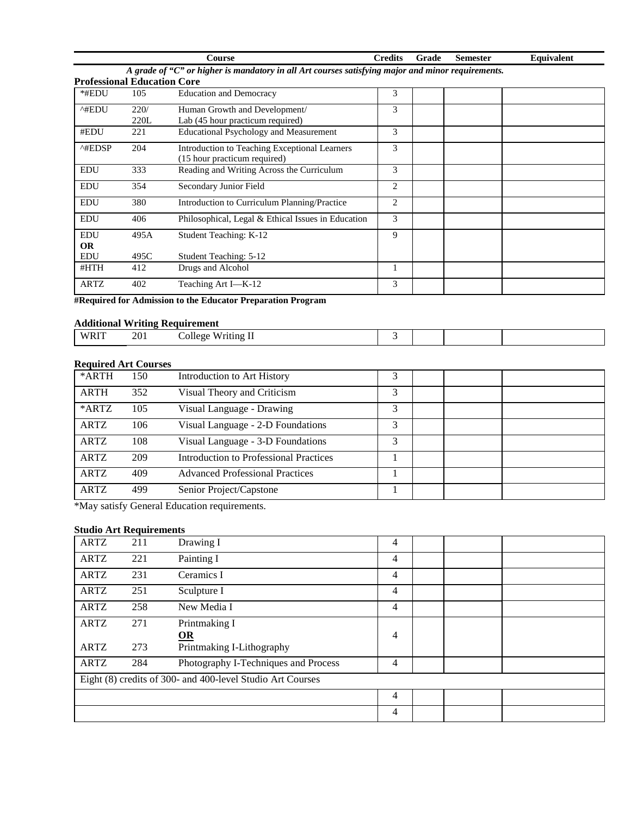| <b>COLLESP</b>                                                                                    | `redits | Grade | Semester | Equivalent |
|---------------------------------------------------------------------------------------------------|---------|-------|----------|------------|
| A grade of "C" or higher is mandatory in all Art courses satisfying major and minor requirements. |         |       |          |            |

|            | <b>Professional Education Core</b> |                                                                               |   |  |  |  |  |  |
|------------|------------------------------------|-------------------------------------------------------------------------------|---|--|--|--|--|--|
| *#EDU      | 105                                | <b>Education and Democracy</b>                                                | 3 |  |  |  |  |  |
| ^#EDU      | 220/                               | Human Growth and Development/                                                 | 3 |  |  |  |  |  |
|            | 220L                               | Lab (45 hour practicum required)                                              |   |  |  |  |  |  |
| #EDU       | 221                                | <b>Educational Psychology and Measurement</b>                                 | 3 |  |  |  |  |  |
| ^#EDSP     | 204                                | Introduction to Teaching Exceptional Learners<br>(15 hour practicum required) | 3 |  |  |  |  |  |
| <b>EDU</b> | 333                                | Reading and Writing Across the Curriculum                                     | 3 |  |  |  |  |  |
| <b>EDU</b> | 354                                | Secondary Junior Field                                                        | 2 |  |  |  |  |  |
| <b>EDU</b> | 380                                | Introduction to Curriculum Planning/Practice                                  | 2 |  |  |  |  |  |
| <b>EDU</b> | 406                                | Philosophical, Legal & Ethical Issues in Education                            | 3 |  |  |  |  |  |
| <b>EDU</b> | 495A                               | Student Teaching: K-12                                                        | 9 |  |  |  |  |  |
| <b>OR</b>  |                                    |                                                                               |   |  |  |  |  |  |
| <b>EDU</b> | 495C                               | <b>Student Teaching: 5-12</b>                                                 |   |  |  |  |  |  |
| #HTH       | 412                                | Drugs and Alcohol                                                             |   |  |  |  |  |  |
| ARTZ       | 402                                | Teaching Art I-K-12                                                           | 3 |  |  |  |  |  |

**#Required for Admission to the Educator Preparation Program**

### **Additional Writing Requirement**

| $W^{p+r}$<br>****<br>the contract of the contract of the contract of | 201 | 'rıfıng<br>ollege.<br>$W^+$<br>$   -$<br>$\sim$ $\sim$ $\sim$ |  |  |
|----------------------------------------------------------------------|-----|---------------------------------------------------------------|--|--|

#### **Required Art Courses**

| *ARTH       | 150 | Introduction to Art History            | 3 |  |  |
|-------------|-----|----------------------------------------|---|--|--|
| <b>ARTH</b> | 352 | Visual Theory and Criticism            | 3 |  |  |
| *ARTZ       | 105 | Visual Language - Drawing              | 3 |  |  |
| <b>ARTZ</b> | 106 | Visual Language - 2-D Foundations      | 3 |  |  |
| <b>ARTZ</b> | 108 | Visual Language - 3-D Foundations      | 3 |  |  |
| <b>ARTZ</b> | 209 | Introduction to Professional Practices |   |  |  |
| <b>ARTZ</b> | 409 | <b>Advanced Professional Practices</b> |   |  |  |
| <b>ARTZ</b> | 499 | Senior Project/Capstone                |   |  |  |

\*May satisfy General Education requirements.

#### **Studio Art Requirements**

| <b>ARTZ</b>                                                | 211 | Drawing I                            | 4 |  |  |  |
|------------------------------------------------------------|-----|--------------------------------------|---|--|--|--|
| <b>ARTZ</b>                                                | 221 | Painting I                           | 4 |  |  |  |
| ARTZ                                                       | 231 | Ceramics I                           | 4 |  |  |  |
| <b>ARTZ</b>                                                | 251 | Sculpture I                          | 4 |  |  |  |
| <b>ARTZ</b>                                                | 258 | New Media I                          | 4 |  |  |  |
| <b>ARTZ</b>                                                | 271 | Printmaking I                        |   |  |  |  |
|                                                            |     | $OR$                                 | 4 |  |  |  |
| <b>ARTZ</b>                                                | 273 | Printmaking I-Lithography            |   |  |  |  |
| <b>ARTZ</b>                                                | 284 | Photography I-Techniques and Process | 4 |  |  |  |
| Eight (8) credits of 300- and 400-level Studio Art Courses |     |                                      |   |  |  |  |
|                                                            |     |                                      | 4 |  |  |  |
|                                                            |     |                                      | 4 |  |  |  |